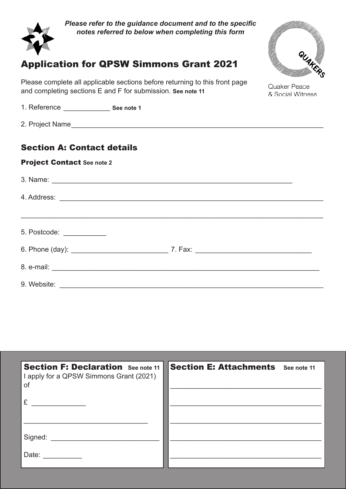

*Please refer to the guidance document and to the specific notes referred to below when completing this form*

# Application for QPSW Simmons Grant 2021

*QPSW Relief Grant* and completing sections E and F for submission. **See note 11** Please complete all applicable sections before returning to this front page

*Application Form QPSW Relief Grant* 1. Reference \_\_\_\_\_\_\_\_\_\_\_\_ **See note 1**

 $\sum_{i=1}^{\infty}$  Flexibility  $\sum_{i=1}^{\infty}$  version is preferred. This PDF (.pdf) version is preferred and submission is preferred and submission is preferred and submission is preferred and submission is preferred and subm can be completed using most recent free PDF readers (e.g. Adobe Reader) but if necessary *Application Form* 2. Project Name\_\_\_\_\_\_\_\_\_\_\_\_\_\_\_\_\_\_\_\_\_\_\_\_\_\_\_\_\_\_\_\_\_\_\_\_\_\_\_\_\_\_\_\_\_\_\_\_\_\_\_\_\_\_\_\_\_\_\_\_\_\_\_\_\_

#### Section A: Contact details can be completed using most readers (e.g. Adobe Readers (e.g. Adobe Readers (e.g. Adobe Readers (e.g. Adobe Re you can complete the alternative Word (.doc) version that is available.

## **Project Contact See note 2** and **Project Contact See note 2**

| 5. Postcode: ____________ |  |
|---------------------------|--|
|                           |  |
|                           |  |
|                           |  |

| <b>Section F: Declaration</b> See note 11<br>I apply for a QPSW Simmons Grant (2021)<br>of | <b>Section E: Attachments</b> See note 11 |  |
|--------------------------------------------------------------------------------------------|-------------------------------------------|--|
| £                                                                                          |                                           |  |
| Signed:                                                                                    |                                           |  |
| Date:                                                                                      |                                           |  |

Phone Mobile Phone



Quaker Peace & Social Witness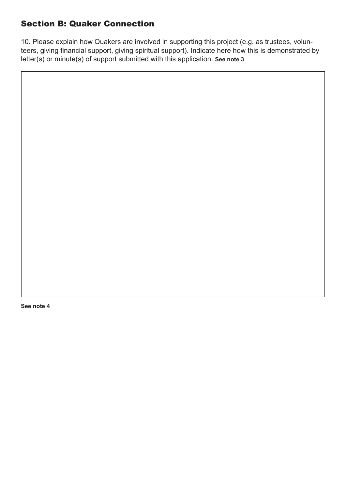#### Section B: Quaker Connection

10. Please explain how Quakers are involved in supporting this project (e.g. as trustees, volunteers, giving financial support, giving spiritual support). Indicate here how this is demonstrated by letter(s) or minute(s) of support submitted with this application. **See note 3**

**See note 4**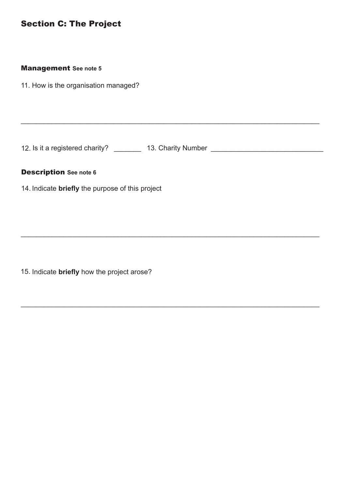## Section C: The Project

#### Management **See note 5**

11. How is the organisation managed?

12. Is it a registered charity? \_\_\_\_\_\_\_\_ 13. Charity Number \_\_\_\_\_\_\_\_\_\_\_\_\_\_\_\_\_\_\_\_

\_\_\_\_\_\_\_\_\_\_\_\_\_\_\_\_\_\_\_\_\_\_\_\_\_\_\_\_\_\_\_\_\_\_\_\_\_\_\_\_\_\_\_\_\_\_\_\_\_\_\_\_\_\_\_\_\_\_\_\_\_\_\_\_\_\_\_\_\_\_\_\_\_\_\_\_\_

\_\_\_\_\_\_\_\_\_\_\_\_\_\_\_\_\_\_\_\_\_\_\_\_\_\_\_\_\_\_\_\_\_\_\_\_\_\_\_\_\_\_\_\_\_\_\_\_\_\_\_\_\_\_\_\_\_\_\_\_\_\_\_\_\_\_\_\_\_\_\_\_\_\_\_\_\_

\_\_\_\_\_\_\_\_\_\_\_\_\_\_\_\_\_\_\_\_\_\_\_\_\_\_\_\_\_\_\_\_\_\_\_\_\_\_\_\_\_\_\_\_\_\_\_\_\_\_\_\_\_\_\_\_\_\_\_\_\_\_\_\_\_\_\_\_\_\_\_\_\_\_\_\_\_

#### Description **See note 6**

14. Indicate **briefly** the purpose of this project

15. Indicate **briefly** how the project arose?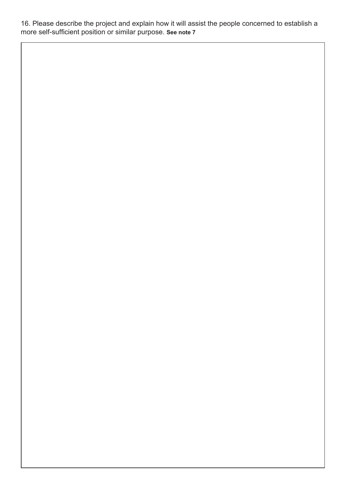16. Please describe the project and explain how it will assist the people concerned to establish a more self-sufficient position or similar purpose. **See note 7**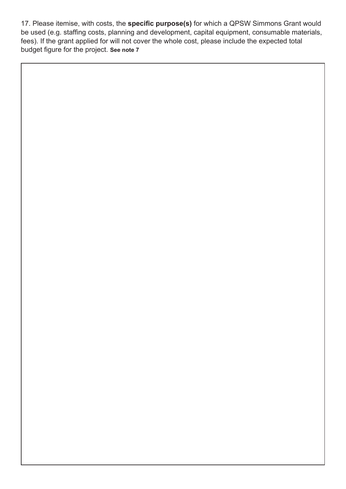17. Please itemise, with costs, the **specific purpose(s)** for which a QPSW Simmons Grant would be used (e.g. staffing costs, planning and development, capital equipment, consumable materials, fees). If the grant applied for will not cover the whole cost, please include the expected total budget figure for the project. **See note 7**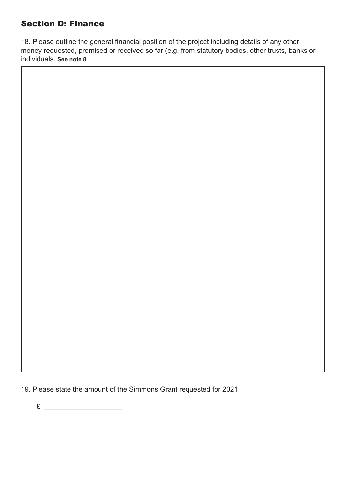#### Section D: Finance

18. Please outline the general financial position of the project including details of any other money requested, promised or received so far (e.g. from statutory bodies, other trusts, banks or individuals. **See note 8**

19. Please state the amount of the Simmons Grant requested for 2021

 $E \sim$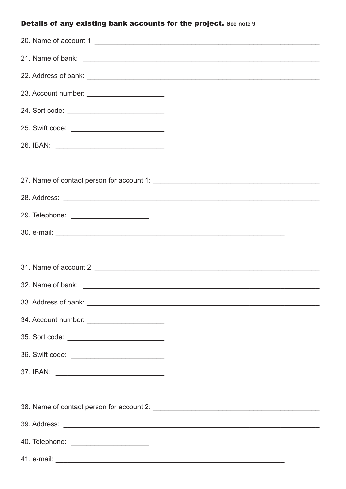## Details of any existing bank accounts for the project. See note 9

| 20. Name of account 1                        |
|----------------------------------------------|
|                                              |
|                                              |
| 23. Account number: ________________________ |
|                                              |
|                                              |
|                                              |
|                                              |
|                                              |
|                                              |
| 29. Telephone: ________________________      |
|                                              |
|                                              |
|                                              |
|                                              |
|                                              |
| 34. Account number: ________________________ |
| 35. Sort code:                               |
|                                              |
|                                              |
|                                              |
|                                              |
|                                              |
|                                              |
|                                              |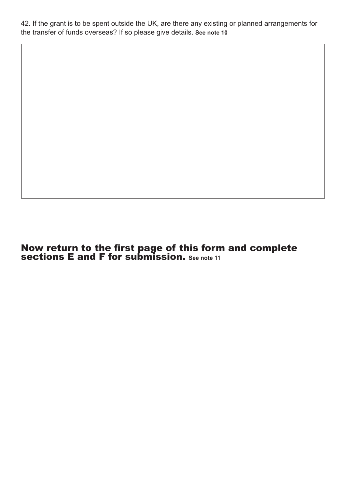42. If the grant is to be spent outside the UK, are there any existing or planned arrangements for the transfer of funds overseas? If so please give details. **See note 10**

Now return to the first page of this form and complete sections E and F for submission. **See note 11**